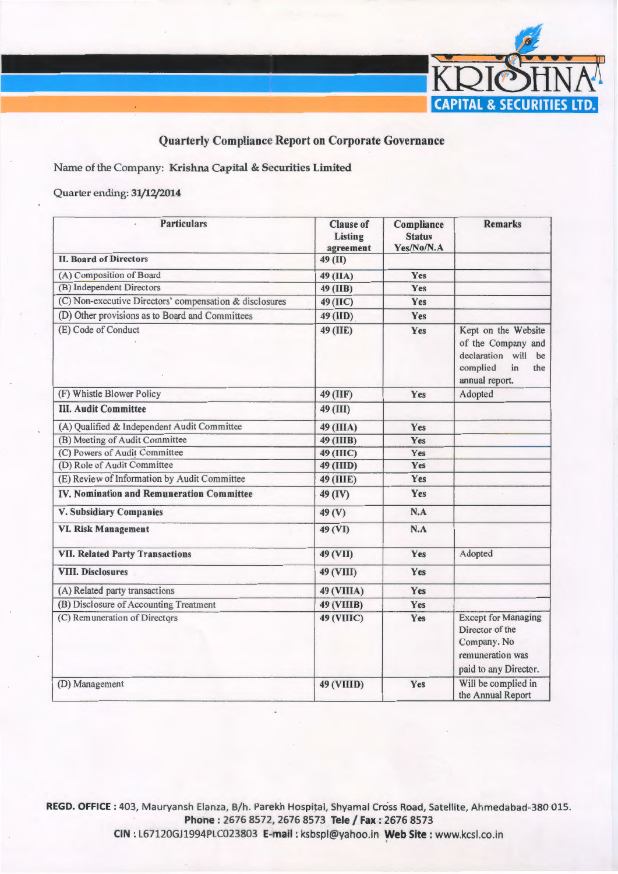

## Quarterly Compliance Report on Corporate Governance

Name of the Company: Krishna Capital & Securities Limited

## Quarter ending: 31/12/2014

| <b>Particulars</b>                                      | <b>Clause of</b><br>Listing<br>agreement | Compliance<br><b>Status</b><br>Yes/No/N.A | <b>Remarks</b>                                                                                                 |
|---------------------------------------------------------|------------------------------------------|-------------------------------------------|----------------------------------------------------------------------------------------------------------------|
| <b>II. Board of Directors</b>                           | 49 (II)                                  |                                           |                                                                                                                |
| (A) Composition of Board                                | 49 (IIA)                                 | Yes                                       |                                                                                                                |
| (B) Independent Directors                               | 49 (IIB)                                 | Yes                                       |                                                                                                                |
| (C) Non-executive Directors' compensation & disclosures | $49$ (IIC)                               | Yes                                       |                                                                                                                |
| (D) Other provisions as to Board and Committees         | 49 (IID)                                 | Yes                                       |                                                                                                                |
| (E) Code of Conduct                                     | 49 (IIE)                                 | Yes                                       | Kept on the Website<br>of the Company and<br>declaration will<br>be<br>complied<br>in<br>the<br>annual report. |
| (F) Whistle Blower Policy                               | 49 (IIF)                                 | Yes                                       | Adopted                                                                                                        |
| <b>III. Audit Committee</b>                             | 49 (III)                                 |                                           |                                                                                                                |
| (A) Qualified & Independent Audit Committee             | 49 (IIIA)                                | Yes                                       |                                                                                                                |
| (B) Meeting of Audit Committee                          | 49 (IIIB)                                | Yes                                       |                                                                                                                |
| (C) Powers of Audit Committee                           | <b>49 (IIIC)</b>                         | Yes                                       |                                                                                                                |
| (D) Role of Audit Committee                             | 49 (IIID)                                | Yes                                       |                                                                                                                |
| (E) Review of Information by Audit Committee            | <b>49 (IIIE)</b>                         | Yes                                       |                                                                                                                |
| <b>IV. Nomination and Remuneration Committee</b>        | 49 (IV)                                  | Yes                                       |                                                                                                                |
| <b>V. Subsidiary Companies</b>                          | 49 <sub>(V)</sub>                        | N.A                                       |                                                                                                                |
| <b>VI. Risk Management</b>                              | 49 (VI)                                  | N.A                                       |                                                                                                                |
| <b>VII. Related Party Transactions</b>                  | 49 (VII)                                 | Yes                                       | Adopted                                                                                                        |
| <b>VIII. Disclosures</b>                                | 49 (VIII)                                | Yes                                       |                                                                                                                |
| (A) Related party transactions                          | <b>49 (VIIIA)</b>                        | Yes                                       |                                                                                                                |
| (B) Disclosure of Accounting Treatment                  | <b>49 (VIIIB)</b>                        | Yes                                       |                                                                                                                |
| (C) Remuneration of Directors                           | <b>49 (VIIIC)</b>                        | Yes                                       | <b>Except for Managing</b><br>Director of the<br>Company. No<br>remuneration was<br>paid to any Director.      |
| (D) Management                                          | <b>49 (VIIID)</b>                        | Yes                                       | Will be complied in<br>the Annual Report                                                                       |

REGD. OFFICE: 403, Mauryansh Elanza, B/h. Parekh Hospital, Shyamal Cross Road, Satellite, Ahmedabad-380 015. Phone: 2676 8572, 2676 8573 Tele / Fax: 2676 8573

CIN : L67120GJ1994PLC023803 E-mail : ksbspl@yahoo.in Web Site : www.kcsl.co.in